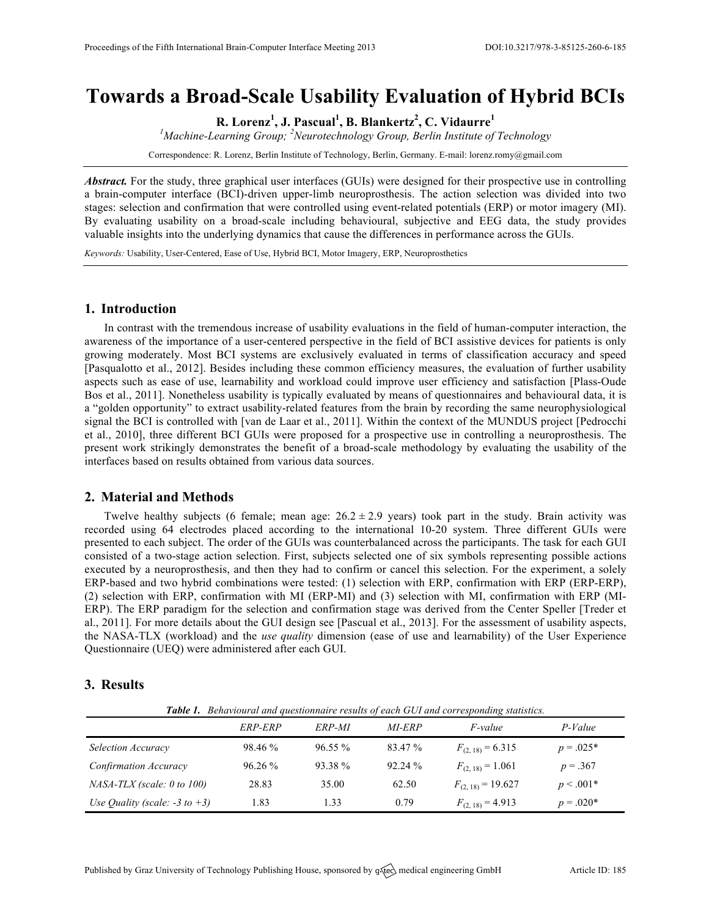# **Towards a Broad-Scale Usability Evaluation of Hybrid BCIs**

**R. Lorenz<sup>1</sup> , J. Pascual<sup>1</sup> , B. Blankertz<sup>2</sup> , C. Vidaurre<sup>1</sup>**

<sup>1</sup> Machine-Learning Group; <sup>2</sup>Neurotechnology Group, Berlin Institute of Technology

Correspondence: R. Lorenz, Berlin Institute of Technology, Berlin, Germany. E-mail: lorenz.romy@gmail.com

*Abstract.* For the study, three graphical user interfaces (GUIs) were designed for their prospective use in controlling a brain-computer interface (BCI)-driven upper-limb neuroprosthesis. The action selection was divided into two stages: selection and confirmation that were controlled using event-related potentials (ERP) or motor imagery (MI). By evaluating usability on a broad-scale including behavioural, subjective and EEG data, the study provides valuable insights into the underlying dynamics that cause the differences in performance across the GUIs.

*Keywords:* Usability, User-Centered, Ease of Use, Hybrid BCI, Motor Imagery, ERP, Neuroprosthetics

#### **1. Introduction**

In contrast with the tremendous increase of usability evaluations in the field of human-computer interaction, the awareness of the importance of a user-centered perspective in the field of BCI assistive devices for patients is only growing moderately. Most BCI systems are exclusively evaluated in terms of classification accuracy and speed [Pasqualotto et al., 2012]. Besides including these common efficiency measures, the evaluation of further usability aspects such as ease of use, learnability and workload could improve user efficiency and satisfaction [Plass-Oude Bos et al., 2011]. Nonetheless usability is typically evaluated by means of questionnaires and behavioural data, it is a "golden opportunity" to extract usability-related features from the brain by recording the same neurophysiological signal the BCI is controlled with [van de Laar et al., 2011]. Within the context of the MUNDUS project [Pedrocchi et al., 2010], three different BCI GUIs were proposed for a prospective use in controlling a neuroprosthesis. The present work strikingly demonstrates the benefit of a broad-scale methodology by evaluating the usability of the interfaces based on results obtained from various data sources.

## **2. Material and Methods**

Twelve healthy subjects (6 female; mean age:  $26.2 \pm 2.9$  years) took part in the study. Brain activity was recorded using 64 electrodes placed according to the international 10-20 system. Three different GUIs were presented to each subject. The order of the GUIs was counterbalanced across the participants. The task for each GUI consisted of a two-stage action selection. First, subjects selected one of six symbols representing possible actions executed by a neuroprosthesis, and then they had to confirm or cancel this selection. For the experiment, a solely ERP-based and two hybrid combinations were tested: (1) selection with ERP, confirmation with ERP (ERP-ERP), (2) selection with ERP, confirmation with MI (ERP-MI) and (3) selection with MI, confirmation with ERP (MI-ERP). The ERP paradigm for the selection and confirmation stage was derived from the Center Speller [Treder et al., 2011]. For more details about the GUI design see [Pascual et al., 2013]. For the assessment of usability aspects, the NASA-TLX (workload) and the *use quality* dimension (ease of use and learnability) of the User Experience Questionnaire (UEQ) were administered after each GUI.

## **3. Results**

*Table 1. Behavioural and questionnaire results of each GUI and corresponding statistics.*

|                                    | ERP-ERP   | ERP-MI    | <i>MI-ERP</i> | <i>F-value</i>        | P-Value     |
|------------------------------------|-----------|-----------|---------------|-----------------------|-------------|
| Selection Accuracy                 | 98.46 %   | $96.55\%$ | 83.47 %       | $F_{(2, 18)} = 6.315$ | $p = .025*$ |
| Confirmation Accuracy              | $96.26\%$ | 93.38 %   | 92.24%        | $F_{(2,18)} = 1.061$  | $p = .367$  |
| $NASA-TLX$ (scale: 0 to 100)       | 28.83     | 35.00     | 62.50         | $F_{(2,18)} = 19.627$ | $p < .001*$ |
| Use Quality (scale: $-3$ to $+3$ ) | 1.83      | 1.33      | 0.79          | $F_{(2,18)} = 4.913$  | $p = .020*$ |